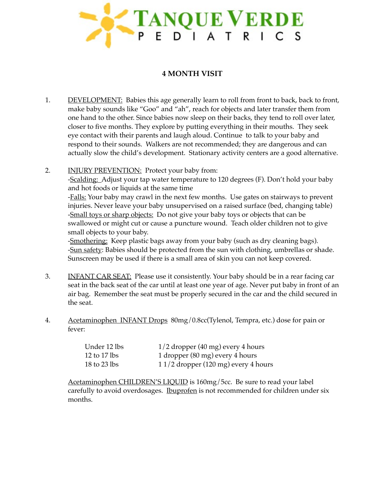

## **4 MONTH VISIT**

- 1. DEVELOPMENT: Babies this age generally learn to roll from front to back, back to front, make baby sounds like "Goo" and "ah", reach for objects and later transfer them from one hand to the other. Since babies now sleep on their backs, they tend to roll over later, closer to five months. They explore by putting everything in their mouths. They seek eye contact with their parents and laugh aloud. Continue to talk to your baby and respond to their sounds. Walkers are not recommended; they are dangerous and can actually slow the child's development. Stationary activity centers are a good alternative.
- 2. INJURY PREVENTION: Protect your baby from: -Scalding: Adjust your tap water temperature to 120 degrees (F). Don't hold your baby and hot foods or liquids at the same time -**Falls**: Your baby may crawl in the next few months. Use gates on stairways to prevent injuries. Never leave your baby unsupervised on a raised surface (bed, changing table) -Small toys or sharp objects: Do not give your baby toys or objects that can be swallowed or might cut or cause a puncture wound. Teach older children not to give small objects to your baby.

-Smothering: Keep plastic bags away from your baby (such as dry cleaning bags). -Sun safety: Babies should be protected from the sun with clothing, umbrellas or shade. Sunscreen may be used if there is a small area of skin you can not keep covered.

- 3. INFANT CAR SEAT: Please use it consistently. Your baby should be in a rear facing car seat in the back seat of the car until at least one year of age. Never put baby in front of an air bag. Remember the seat must be properly secured in the car and the child secured in the seat.
- 4. Acetaminophen INFANT Drops 80mg/0.8cc(Tylenol, Tempra, etc.) dose for pain or fever:

| Under 12 lbs | $1/2$ dropper (40 mg) every 4 hours   |
|--------------|---------------------------------------|
| 12 to 17 lbs | 1 dropper (80 mg) every 4 hours       |
| 18 to 23 lbs | $11/2$ dropper (120 mg) every 4 hours |

Acetaminophen CHILDREN'S LIQUID is 160mg/5cc. Be sure to read your label carefully to avoid overdosages. Ibuprofen is not recommended for children under six months.